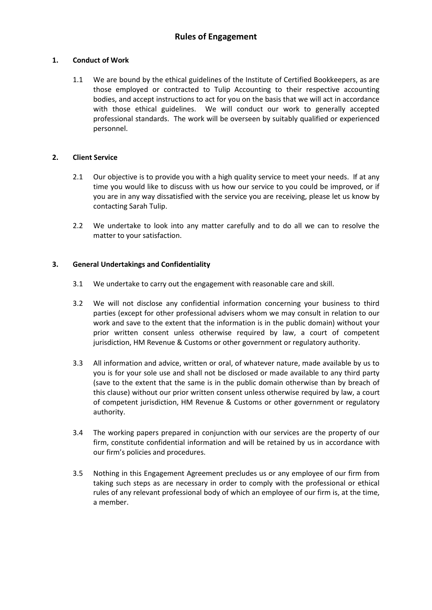## **1. Conduct of Work**

1.1 We are bound by the ethical guidelines of the Institute of Certified Bookkeepers, as are those employed or contracted to Tulip Accounting to their respective accounting bodies, and accept instructions to act for you on the basis that we will act in accordance with those ethical guidelines. We will conduct our work to generally accepted professional standards. The work will be overseen by suitably qualified or experienced personnel.

# **2. Client Service**

- 2.1 Our objective is to provide you with a high quality service to meet your needs. If at any time you would like to discuss with us how our service to you could be improved, or if you are in any way dissatisfied with the service you are receiving, please let us know by contacting Sarah Tulip.
- 2.2 We undertake to look into any matter carefully and to do all we can to resolve the matter to your satisfaction.

# **3. General Undertakings and Confidentiality**

- 3.1 We undertake to carry out the engagement with reasonable care and skill.
- 3.2 We will not disclose any confidential information concerning your business to third parties (except for other professional advisers whom we may consult in relation to our work and save to the extent that the information is in the public domain) without your prior written consent unless otherwise required by law, a court of competent jurisdiction, HM Revenue & Customs or other government or regulatory authority.
- 3.3 All information and advice, written or oral, of whatever nature, made available by us to you is for your sole use and shall not be disclosed or made available to any third party (save to the extent that the same is in the public domain otherwise than by breach of this clause) without our prior written consent unless otherwise required by law, a court of competent jurisdiction, HM Revenue & Customs or other government or regulatory authority.
- 3.4 The working papers prepared in conjunction with our services are the property of our firm, constitute confidential information and will be retained by us in accordance with our firm's policies and procedures.
- 3.5 Nothing in this Engagement Agreement precludes us or any employee of our firm from taking such steps as are necessary in order to comply with the professional or ethical rules of any relevant professional body of which an employee of our firm is, at the time, a member.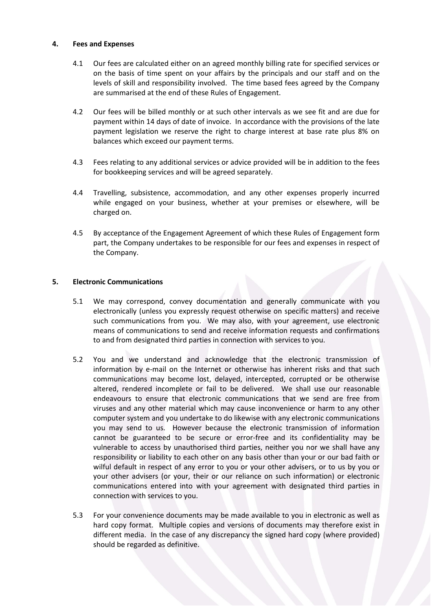## **4. Fees and Expenses**

- 4.1 Our fees are calculated either on an agreed monthly billing rate for specified services or on the basis of time spent on your affairs by the principals and our staff and on the levels of skill and responsibility involved. The time based fees agreed by the Company are summarised at the end of these Rules of Engagement.
- 4.2 Our fees will be billed monthly or at such other intervals as we see fit and are due for payment within 14 days of date of invoice. In accordance with the provisions of the late payment legislation we reserve the right to charge interest at base rate plus 8% on balances which exceed our payment terms.
- 4.3 Fees relating to any additional services or advice provided will be in addition to the fees for bookkeeping services and will be agreed separately.
- 4.4 Travelling, subsistence, accommodation, and any other expenses properly incurred while engaged on your business, whether at your premises or elsewhere, will be charged on.
- 4.5 By acceptance of the Engagement Agreement of which these Rules of Engagement form part, the Company undertakes to be responsible for our fees and expenses in respect of the Company.

## **5. Electronic Communications**

- 5.1 We may correspond, convey documentation and generally communicate with you electronically (unless you expressly request otherwise on specific matters) and receive such communications from you. We may also, with your agreement, use electronic means of communications to send and receive information requests and confirmations to and from designated third parties in connection with services to you.
- 5.2 You and we understand and acknowledge that the electronic transmission of information by e-mail on the Internet or otherwise has inherent risks and that such communications may become lost, delayed, intercepted, corrupted or be otherwise altered, rendered incomplete or fail to be delivered. We shall use our reasonable endeavours to ensure that electronic communications that we send are free from viruses and any other material which may cause inconvenience or harm to any other computer system and you undertake to do likewise with any electronic communications you may send to us. However because the electronic transmission of information cannot be guaranteed to be secure or error-free and its confidentiality may be vulnerable to access by unauthorised third parties, neither you nor we shall have any responsibility or liability to each other on any basis other than your or our bad faith or wilful default in respect of any error to you or your other advisers, or to us by you or your other advisers (or your, their or our reliance on such information) or electronic communications entered into with your agreement with designated third parties in connection with services to you.
- 5.3 For your convenience documents may be made available to you in electronic as well as hard copy format. Multiple copies and versions of documents may therefore exist in different media. In the case of any discrepancy the signed hard copy (where provided) should be regarded as definitive.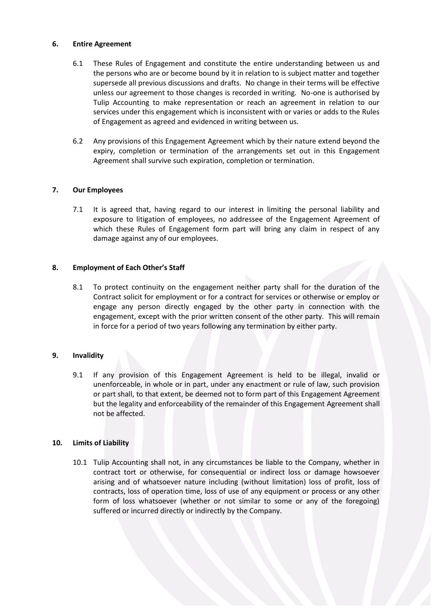## **6. Entire Agreement**

- 6.1 These Rules of Engagement and constitute the entire understanding between us and the persons who are or become bound by it in relation to is subject matter and together supersede all previous discussions and drafts. No change in their terms will be effective unless our agreement to those changes is recorded in writing. No-one is authorised by Tulip Accounting to make representation or reach an agreement in relation to our services under this engagement which is inconsistent with or varies or adds to the Rules of Engagement as agreed and evidenced in writing between us.
- 6.2 Any provisions of this Engagement Agreement which by their nature extend beyond the expiry, completion or termination of the arrangements set out in this Engagement Agreement shall survive such expiration, completion or termination.

## **7. Our Employees**

7.1 It is agreed that, having regard to our interest in limiting the personal liability and exposure to litigation of employees, no addressee of the Engagement Agreement of which these Rules of Engagement form part will bring any claim in respect of any damage against any of our employees.

## **8. Employment of Each Other's Staff**

8.1 To protect continuity on the engagement neither party shall for the duration of the Contract solicit for employment or for a contract for services or otherwise or employ or engage any person directly engaged by the other party in connection with the engagement, except with the prior written consent of the other party. This will remain in force for a period of two years following any termination by either party.

## **9. Invalidity**

9.1 If any provision of this Engagement Agreement is held to be illegal, invalid or unenforceable, in whole or in part, under any enactment or rule of law, such provision or part shall, to that extent, be deemed not to form part of this Engagement Agreement but the legality and enforceability of the remainder of this Engagement Agreement shall not be affected.

## **10. Limits of Liability**

10.1 Tulip Accounting shall not, in any circumstances be liable to the Company, whether in contract tort or otherwise, for consequential or indirect loss or damage howsoever arising and of whatsoever nature including (without limitation) loss of profit, loss of contracts, loss of operation time, loss of use of any equipment or process or any other form of loss whatsoever (whether or not similar to some or any of the foregoing) suffered or incurred directly or indirectly by the Company.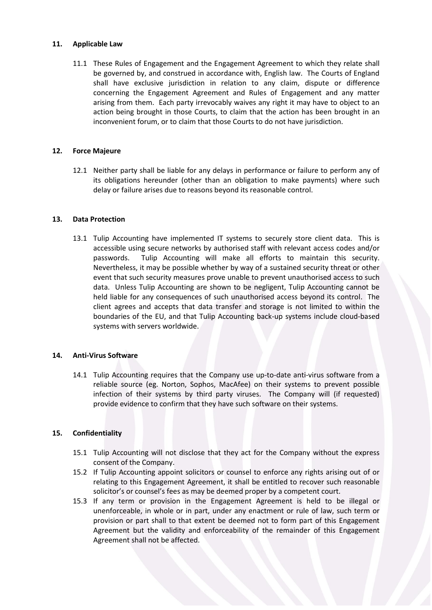### **11. Applicable Law**

11.1 These Rules of Engagement and the Engagement Agreement to which they relate shall be governed by, and construed in accordance with, English law. The Courts of England shall have exclusive jurisdiction in relation to any claim, dispute or difference concerning the Engagement Agreement and Rules of Engagement and any matter arising from them. Each party irrevocably waives any right it may have to object to an action being brought in those Courts, to claim that the action has been brought in an inconvenient forum, or to claim that those Courts to do not have jurisdiction.

#### **12. Force Majeure**

12.1 Neither party shall be liable for any delays in performance or failure to perform any of its obligations hereunder (other than an obligation to make payments) where such delay or failure arises due to reasons beyond its reasonable control.

#### **13. Data Protection**

13.1 Tulip Accounting have implemented IT systems to securely store client data. This is accessible using secure networks by authorised staff with relevant access codes and/or passwords. Tulip Accounting will make all efforts to maintain this security. Nevertheless, it may be possible whether by way of a sustained security threat or other event that such security measures prove unable to prevent unauthorised access to such data. Unless Tulip Accounting are shown to be negligent, Tulip Accounting cannot be held liable for any consequences of such unauthorised access beyond its control. The client agrees and accepts that data transfer and storage is not limited to within the boundaries of the EU, and that Tulip Accounting back-up systems include cloud-based systems with servers worldwide.

## **14. Anti-Virus Software**

14.1 Tulip Accounting requires that the Company use up-to-date anti-virus software from a reliable source (eg. Norton, Sophos, MacAfee) on their systems to prevent possible infection of their systems by third party viruses. The Company will (if requested) provide evidence to confirm that they have such software on their systems.

## **15. Confidentiality**

- 15.1 Tulip Accounting will not disclose that they act for the Company without the express consent of the Company.
- 15.2 If Tulip Accounting appoint solicitors or counsel to enforce any rights arising out of or relating to this Engagement Agreement, it shall be entitled to recover such reasonable solicitor's or counsel's fees as may be deemed proper by a competent court.
- 15.3 If any term or provision in the Engagement Agreement is held to be illegal or unenforceable, in whole or in part, under any enactment or rule of law, such term or provision or part shall to that extent be deemed not to form part of this Engagement Agreement but the validity and enforceability of the remainder of this Engagement Agreement shall not be affected.